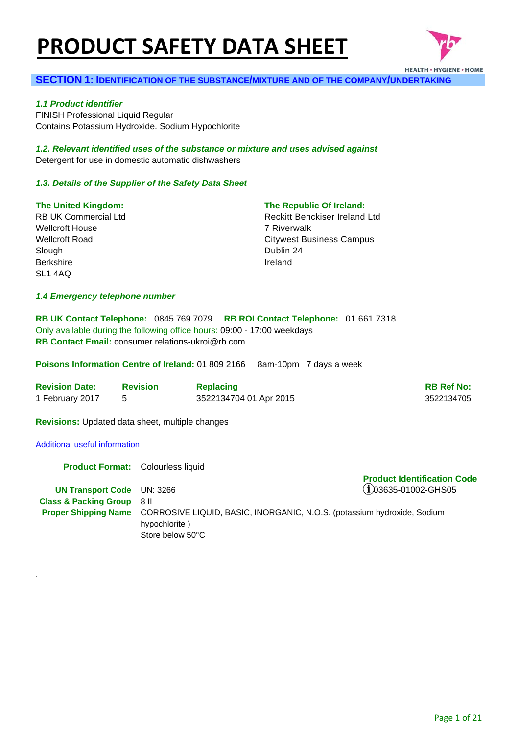# **PRODUCT SAFETY DATA SHEET**



### **SECTION 1: IDENTIFICATION OF THE SUBSTANCE/MIXTURE AND OF THE COMPANY/UNDERTAKING**

#### *1.1 Product identifier*

FINISH Professional Liquid Regular Contains Potassium Hydroxide. Sodium Hypochlorite

*1.2. Relevant identified uses of the substance or mixture and uses advised against* Detergent for use in domestic automatic dishwashers

### *1.3. Details of the Supplier of the Safety Data Sheet*

### **The United Kingdom:**

RB UK Commercial Ltd Wellcroft House Wellcroft Road Slough Berkshire SL1 4AQ

### **The Republic Of Ireland:**

Reckitt Benckiser Ireland Ltd 7 Riverwalk Citywest Business Campus Dublin 24 Ireland

### *1.4 Emergency telephone number*

**RB UK Contact Telephone:** 0845 769 7079 **RB ROI Contact Telephone:** 01 661 7318 Only available during the following office hours: 09:00 - 17:00 weekdays **RB Contact Email:** consumer.relations-ukroi@rb.com

**Poisons Information Centre of Ireland:** 01 809 2166 8am-10pm 7 days a week

| <b>Revision Date:</b> | <b>Revision</b> | <b>Replacing</b>       | <b>RB Ref No:</b> |
|-----------------------|-----------------|------------------------|-------------------|
| 1 February 2017       |                 | 3522134704 01 Apr 2015 | 3522134705        |

**Revisions:** Updated data sheet, multiple changes

### Additional useful information

.

**Product Format: Colourless liquid UN Transport Code** UN: 3266 **Product Identification Code**   $(i)$ 03635-01002-GHS05 **Class & Packing Group** 8 II **Proper Shipping Name** CORROSIVE LIQUID, BASIC, INORGANIC, N.O.S. (potassium hydroxide, Sodium hypochlorite ) Store below 50°C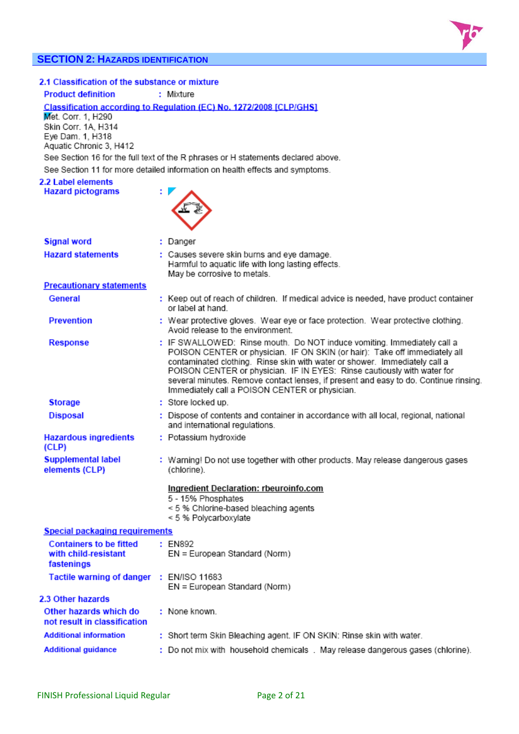# **SECTION 2: HAZARDS IDENTIFICATION**



## 2.1 Classification of the substance or mixture

**Product definition** : Mixture

Classification according to Regulation (EC) No. 1272/2008 [CLP/GHS]

Met. Corr. 1, H290 Skin Corr. 1A, H314 Eye Dam. 1, H318 Aquatic Chronic 3, H412

See Section 16 for the full text of the R phrases or H statements declared above. See Section 11 for more detailed information on health effects and symptoms.

#### 2.2 Label elements **Hazard pictograms**



| <b>Signal word</b>                                                   | : Danger                                                                                                                                                                                                                                                                                                                                                                                                                                                 |
|----------------------------------------------------------------------|----------------------------------------------------------------------------------------------------------------------------------------------------------------------------------------------------------------------------------------------------------------------------------------------------------------------------------------------------------------------------------------------------------------------------------------------------------|
| <b>Hazard statements</b>                                             | : Causes severe skin burns and eye damage.<br>Harmful to aquatic life with long lasting effects.<br>May be corrosive to metals.                                                                                                                                                                                                                                                                                                                          |
| <b>Precautionary statements</b>                                      |                                                                                                                                                                                                                                                                                                                                                                                                                                                          |
| General                                                              | : Keep out of reach of children. If medical advice is needed, have product container<br>or label at hand.                                                                                                                                                                                                                                                                                                                                                |
| <b>Prevention</b>                                                    | : Wear protective gloves. Wear eye or face protection. Wear protective clothing.<br>Avoid release to the environment.                                                                                                                                                                                                                                                                                                                                    |
| <b>Response</b>                                                      | : IF SWALLOWED: Rinse mouth. Do NOT induce vomiting. Immediately call a<br>POISON CENTER or physician. IF ON SKIN (or hair): Take off immediately all<br>contaminated clothing. Rinse skin with water or shower. Immediately call a<br>POISON CENTER or physician. IF IN EYES: Rinse cautiously with water for<br>several minutes. Remove contact lenses, if present and easy to do. Continue rinsing.<br>Immediately call a POISON CENTER or physician. |
| <b>Storage</b>                                                       | : Store locked up.                                                                                                                                                                                                                                                                                                                                                                                                                                       |
| <b>Disposal</b>                                                      | : Dispose of contents and container in accordance with all local, regional, national<br>and international regulations.                                                                                                                                                                                                                                                                                                                                   |
| <b>Hazardous ingredients</b><br>(CLP)                                | : Potassium hydroxide                                                                                                                                                                                                                                                                                                                                                                                                                                    |
| <b>Supplemental label</b><br>elements (CLP)                          | : Warning! Do not use together with other products. May release dangerous gases<br>(chlorine).                                                                                                                                                                                                                                                                                                                                                           |
|                                                                      | Ingredient Declaration: rbeuroinfo.com<br>5 - 15% Phosphates<br>< 5 % Chlorine-based bleaching agents<br>< 5 % Polycarboxylate                                                                                                                                                                                                                                                                                                                           |
| Special packaging requirements                                       |                                                                                                                                                                                                                                                                                                                                                                                                                                                          |
| <b>Containers to be fitted</b><br>with child-resistant<br>fastenings | : FN892<br>EN = European Standard (Norm)                                                                                                                                                                                                                                                                                                                                                                                                                 |
| Tactile warning of danger : EN/ISO 11683                             | EN = European Standard (Norm)                                                                                                                                                                                                                                                                                                                                                                                                                            |
| 2.3 Other hazards                                                    |                                                                                                                                                                                                                                                                                                                                                                                                                                                          |
| Other hazards which do<br>not result in classification               | : None known.                                                                                                                                                                                                                                                                                                                                                                                                                                            |
| <b>Additional information</b>                                        | : Short term Skin Bleaching agent. IF ON SKIN: Rinse skin with water.                                                                                                                                                                                                                                                                                                                                                                                    |
| <b>Additional guidance</b>                                           | : Do not mix with household chemicals . May release dangerous gases (chlorine).                                                                                                                                                                                                                                                                                                                                                                          |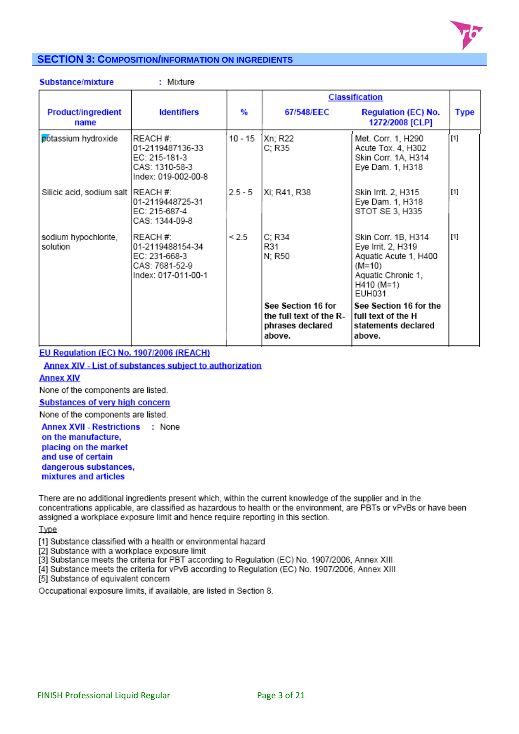

# **SECTION 3: COMPOSITION/INFORMATION ON INGREDIENTS**

| Substance/mixture                  | : Mixture                                                                              |           |                                                                             |                                                                                                                                     |             |
|------------------------------------|----------------------------------------------------------------------------------------|-----------|-----------------------------------------------------------------------------|-------------------------------------------------------------------------------------------------------------------------------------|-------------|
|                                    |                                                                                        |           |                                                                             | <b>Classification</b>                                                                                                               |             |
| <b>Product/ingredient</b><br>name  | <b>Identifiers</b>                                                                     | %         | 67/548/EEC                                                                  | <b>Regulation (EC) No.</b><br>1272/2008 [CLP]                                                                                       | <b>Type</b> |
| potassium hydroxide                | REACH #:<br>01-2119487136-33<br>EC: 215-181-3<br>CAS: 1310-58-3<br>Index: 019-002-00-8 | 10 - 15   | Xn; R22<br>C; R35                                                           | Met. Corr. 1, H290<br>Acute Tox. 4, H302<br>Skin Corr. 1A, H314<br>Eye Dam. 1, H318                                                 | $[1]$       |
| Silicic acid, sodium salt REACH #: | 01-2119448725-31<br>EC: 215-687-4<br>CAS: 1344-09-8                                    | $2.5 - 5$ | Xi; R41, R38                                                                | Skin Irrit. 2, H315<br>Eye Dam. 1, H318<br>STOT SE 3, H335                                                                          | $[1]$       |
| sodium hypochlorite,<br>solution   | REACH #:<br>01-2119488154-34<br>EC: 231-668-3<br>CAS: 7681-52-9<br>Index: 017-011-00-1 | < 2.5     | C; R34<br>R31<br>N; R50                                                     | Skin Corr. 1B, H314<br>Eye Irrit. 2, H319<br>Aquatic Acute 1, H400<br>$(M=10)$<br>Aquatic Chronic 1,<br>H410 (M=1)<br><b>EUH031</b> | $[1]$       |
|                                    |                                                                                        |           | See Section 16 for<br>the full text of the R-<br>phrases declared<br>above. | See Section 16 for the<br>full text of the H<br>statements declared<br>above.                                                       |             |

# EU Regulation (EC) No. 1907/2006 (REACH)

Annex XIV - List of substances subject to authorization

### **Annex XIV**

None of the components are listed.

**Substances of very high concern** 

None of the components are listed.

Annex XVII - Restrictions : None on the manufacture, placing on the market and use of certain dangerous substances, mixtures and articles

There are no additional ingredients present which, within the current knowledge of the supplier and in the concentrations applicable, are classified as hazardous to health or the environment, are PBTs or vPvBs or have been assigned a workplace exposure limit and hence require reporting in this section.

**Type** 

[1] Substance classified with a health or environmental hazard

[2] Substance with a workplace exposure limit

[3] Substance meets the criteria for PBT according to Regulation (EC) No. 1907/2006, Annex XIII

[4] Substance meets the criteria for vPvB according to Regulation (EC) No. 1907/2006, Annex XIII

[5] Substance of equivalent concern

Occupational exposure limits, if available, are listed in Section 8.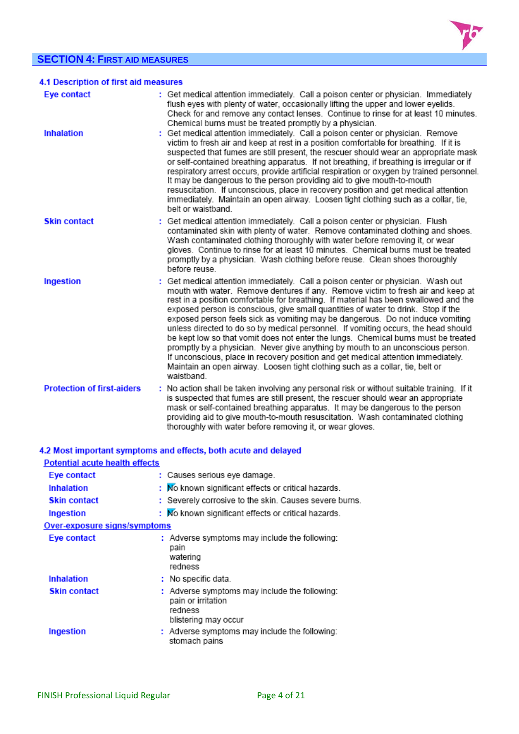## **SECTION 4: FIRST AID MEASURES**



| <b>SECTION 4: FIRST AID MEASURES</b>  |                                                                                                                                                                                                                                                                                                                                                                                                                                                                                                                                                                                                                                                                                                                                                                                                                                                                                        |  |
|---------------------------------------|----------------------------------------------------------------------------------------------------------------------------------------------------------------------------------------------------------------------------------------------------------------------------------------------------------------------------------------------------------------------------------------------------------------------------------------------------------------------------------------------------------------------------------------------------------------------------------------------------------------------------------------------------------------------------------------------------------------------------------------------------------------------------------------------------------------------------------------------------------------------------------------|--|
| 4.1 Description of first aid measures |                                                                                                                                                                                                                                                                                                                                                                                                                                                                                                                                                                                                                                                                                                                                                                                                                                                                                        |  |
| Eye contact                           | : Get medical attention immediately. Call a poison center or physician. Immediately<br>flush eyes with plenty of water, occasionally lifting the upper and lower eyelids.<br>Check for and remove any contact lenses. Continue to rinse for at least 10 minutes.<br>Chemical burns must be treated promptly by a physician.                                                                                                                                                                                                                                                                                                                                                                                                                                                                                                                                                            |  |
| <b>Inhalation</b>                     | : Get medical attention immediately. Call a poison center or physician. Remove<br>victim to fresh air and keep at rest in a position comfortable for breathing. If it is<br>suspected that fumes are still present, the rescuer should wear an appropriate mask<br>or self-contained breathing apparatus. If not breathing, if breathing is irregular or if<br>respiratory arrest occurs, provide artificial respiration or oxygen by trained personnel.<br>It may be dangerous to the person providing aid to give mouth-to-mouth<br>resuscitation. If unconscious, place in recovery position and get medical attention<br>immediately. Maintain an open airway. Loosen tight clothing such as a collar, tie,<br>belt or waistband.                                                                                                                                                  |  |
| <b>Skin contact</b>                   | : Get medical attention immediately. Call a poison center or physician. Flush<br>contaminated skin with plenty of water. Remove contaminated clothing and shoes.<br>Wash contaminated clothing thoroughly with water before removing it, or wear<br>gloves. Continue to rinse for at least 10 minutes. Chemical burns must be treated<br>promptly by a physician. Wash clothing before reuse. Clean shoes thoroughly<br>before reuse                                                                                                                                                                                                                                                                                                                                                                                                                                                   |  |
| Ingestion                             | : Get medical attention immediately. Call a poison center or physician. Wash out<br>mouth with water. Remove dentures if any. Remove victim to fresh air and keep at<br>rest in a position comfortable for breathing. If material has been swallowed and the<br>exposed person is conscious, give small quantities of water to drink. Stop if the<br>exposed person feels sick as vomiting may be dangerous. Do not induce vomiting<br>unless directed to do so by medical personnel. If vomiting occurs, the head should<br>be kept low so that vomit does not enter the lungs. Chemical burns must be treated<br>promptly by a physician. Never give anything by mouth to an unconscious person.<br>If unconscious, place in recovery position and get medical attention immediately.<br>Maintain an open airway. Loosen tight clothing such as a collar, tie, belt or<br>waistband. |  |
| <b>Protection of first-aiders</b>     | : No action shall be taken involving any personal risk or without suitable training. If it<br>is suspected that fumes are still present, the rescuer should wear an appropriate<br>mask or self-contained breathing apparatus. It may be dangerous to the person<br>providing aid to give mouth-to-mouth resuscitation. Wash contaminated clothing                                                                                                                                                                                                                                                                                                                                                                                                                                                                                                                                     |  |

thoroughly with water before removing it, or wear gloves.

|                                       | 4.2 Most important symptoms and effects, both acute and delayed                                        |
|---------------------------------------|--------------------------------------------------------------------------------------------------------|
| <b>Potential acute health effects</b> |                                                                                                        |
| Eye contact                           | : Causes serious eye damage.                                                                           |
| <b>Inhalation</b>                     | : No known significant effects or critical hazards.                                                    |
| <b>Skin contact</b>                   | : Severely corrosive to the skin. Causes severe burns.                                                 |
| Ingestion                             | : No known significant effects or critical hazards.                                                    |
| Over-exposure signs/symptoms          |                                                                                                        |
| Eye contact                           | : Adverse symptoms may include the following:<br>pain<br>watering<br>redness                           |
| <b>Inhalation</b>                     | $:$ No specific data.                                                                                  |
| <b>Skin contact</b>                   | : Adverse symptoms may include the following:<br>pain or irritation<br>redness<br>blistering may occur |
| Ingestion                             | : Adverse symptoms may include the following:<br>stomach pains                                         |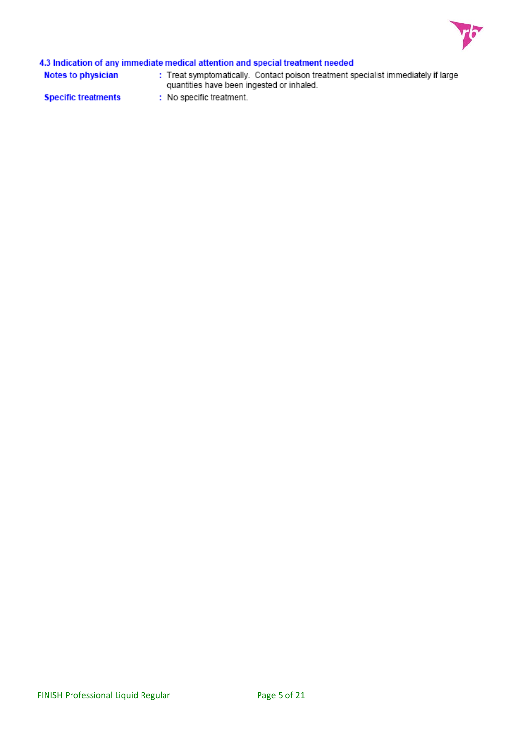

# 4.3 Indication of any immediate medical attention and special treatment needed

**Notes to physician** 

: Treat symptomatically. Contact poison treatment specialist immediately if large quantities have been ingested or inhaled.

**Specific treatments** 

: No specific treatment.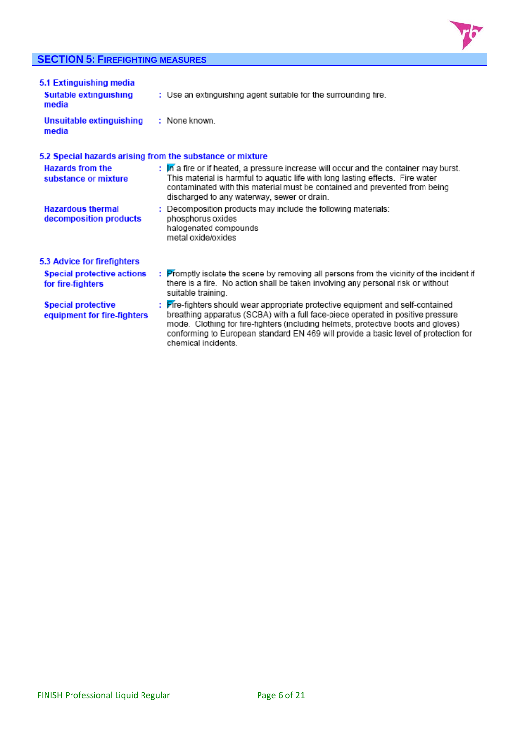# **SECTION 5: FIREFIGHTING MEASURES**



| 5.1 Extinguishing media<br>Suitable extinguishing<br>media | : Use an extinguishing agent suitable for the surrounding fire.                                                                                                                                                                                                                                                                                                      |
|------------------------------------------------------------|----------------------------------------------------------------------------------------------------------------------------------------------------------------------------------------------------------------------------------------------------------------------------------------------------------------------------------------------------------------------|
| Unsuitable extinguishing<br>media                          | : None known.                                                                                                                                                                                                                                                                                                                                                        |
| 5.2 Special hazards arising from the substance or mixture  |                                                                                                                                                                                                                                                                                                                                                                      |
| <b>Hazards from the</b><br>substance or mixture            | : In a fire or if heated, a pressure increase will occur and the container may burst.<br>This material is harmful to aquatic life with long lasting effects. Fire water<br>contaminated with this material must be contained and prevented from being<br>discharged to any waterway, sewer or drain.                                                                 |
| <b>Hazardous thermal</b><br>decomposition products         | : Decomposition products may include the following materials:<br>phosphorus oxides<br>halogenated compounds<br>metal oxide/oxides                                                                                                                                                                                                                                    |
| 5.3 Advice for firefighters                                |                                                                                                                                                                                                                                                                                                                                                                      |
| <b>Special protective actions</b><br>for fire-fighters     | : Promptly isolate the scene by removing all persons from the vicinity of the incident if<br>there is a fire. No action shall be taken involving any personal risk or without<br>suitable training.                                                                                                                                                                  |
| <b>Special protective</b><br>equipment for fire-fighters   | : Fire-fighters should wear appropriate protective equipment and self-contained<br>breathing apparatus (SCBA) with a full face-piece operated in positive pressure<br>mode. Clothing for fire-fighters (including helmets, protective boots and gloves)<br>conforming to European standard EN 469 will provide a basic level of protection for<br>chemical incidents |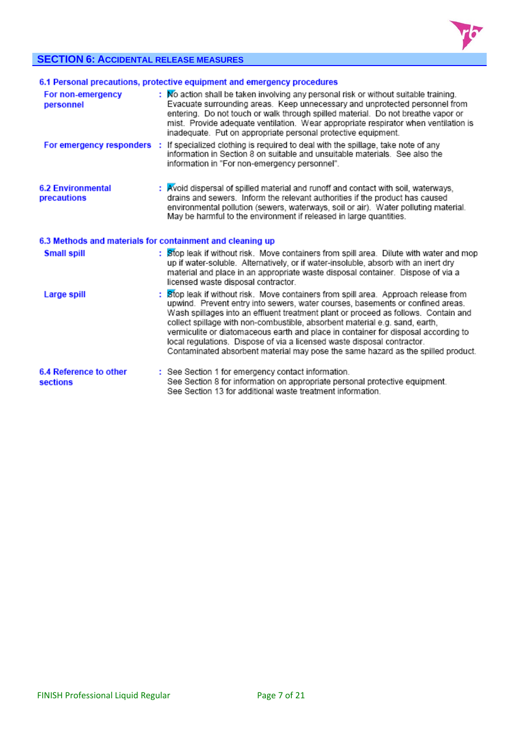

# **SECTION 6: ACCIDENTAL RELEASE MEASURES**

|                                                           | 6.1 Personal precautions, protective equipment and emergency procedures                                                                                                                                                                                                                                                                                                                                                                                                                                                                                                                       |
|-----------------------------------------------------------|-----------------------------------------------------------------------------------------------------------------------------------------------------------------------------------------------------------------------------------------------------------------------------------------------------------------------------------------------------------------------------------------------------------------------------------------------------------------------------------------------------------------------------------------------------------------------------------------------|
| For non-emergency<br>personnel                            | : No action shall be taken involving any personal risk or without suitable training.<br>Evacuate surrounding areas. Keep unnecessary and unprotected personnel from<br>entering. Do not touch or walk through spilled material. Do not breathe vapor or<br>mist. Provide adequate ventilation. Wear appropriate respirator when ventilation is<br>inadequate. Put on appropriate personal protective equipment.                                                                                                                                                                               |
| For emergency responders :                                | If specialized clothing is required to deal with the spillage, take note of any<br>information in Section 8 on suitable and unsuitable materials. See also the<br>information in "For non-emergency personnel".                                                                                                                                                                                                                                                                                                                                                                               |
| <b>6.2 Environmental</b><br>precautions                   | : Avoid dispersal of spilled material and runoff and contact with soil, waterways,<br>drains and sewers. Inform the relevant authorities if the product has caused<br>environmental pollution (sewers, waterways, soil or air). Water polluting material.<br>May be harmful to the environment if released in large quantities.                                                                                                                                                                                                                                                               |
| 6.3 Methods and materials for containment and cleaning up |                                                                                                                                                                                                                                                                                                                                                                                                                                                                                                                                                                                               |
| <b>Small spill</b>                                        | : Stop leak if without risk. Move containers from spill area. Dilute with water and mop<br>up if water-soluble. Alternatively, or if water-insoluble, absorb with an inert dry<br>material and place in an appropriate waste disposal container. Dispose of via a<br>licensed waste disposal contractor.                                                                                                                                                                                                                                                                                      |
| Large spill                                               | Stop leak if without risk. Move containers from spill area. Approach release from<br>upwind. Prevent entry into sewers, water courses, basements or confined areas.<br>Wash spillages into an effluent treatment plant or proceed as follows. Contain and<br>collect spillage with non-combustible, absorbent material e.g. sand, earth,<br>vermiculite or diatomaceous earth and place in container for disposal according to<br>local regulations. Dispose of via a licensed waste disposal contractor.<br>Contaminated absorbent material may pose the same hazard as the spilled product. |
| 6.4 Reference to other<br>sections                        | : See Section 1 for emergency contact information.<br>See Section 8 for information on appropriate personal protective equipment.<br>See Section 13 for additional waste treatment information                                                                                                                                                                                                                                                                                                                                                                                                |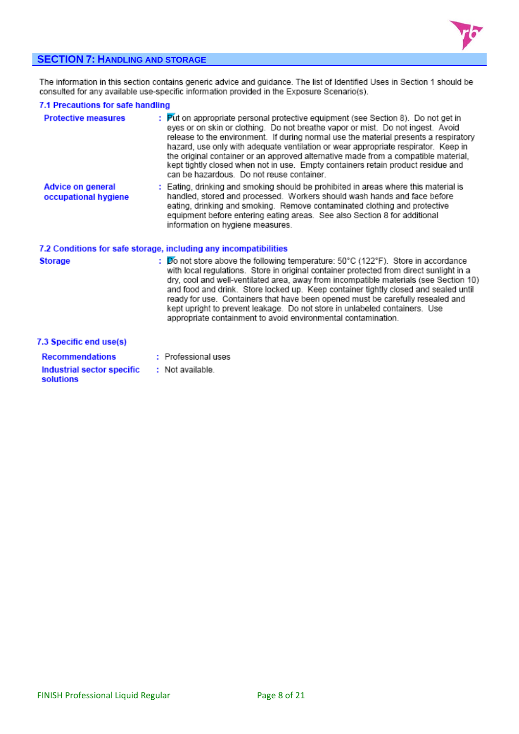

# **SECTION 7: HANDLING AND STORAGE**

The information in this section contains generic advice and guidance. The list of Identified Uses in Section 1 should be<br>consulted for any available use-specific information provided in the Exposure Scenario(s).

## 7.1 Precautions for safe handling

| <b>Protective measures</b>                       | : Put on appropriate personal protective equipment (see Section 8). Do not get in<br>eyes or on skin or clothing. Do not breathe vapor or mist. Do not ingest. Avoid<br>release to the environment. If during normal use the material presents a respiratory<br>hazard, use only with adequate ventilation or wear appropriate respirator. Keep in<br>the original container or an approved alternative made from a compatible material,<br>kept tightly closed when not in use. Empty containers retain product residue and<br>can be hazardous. Do not reuse container.                               |
|--------------------------------------------------|---------------------------------------------------------------------------------------------------------------------------------------------------------------------------------------------------------------------------------------------------------------------------------------------------------------------------------------------------------------------------------------------------------------------------------------------------------------------------------------------------------------------------------------------------------------------------------------------------------|
| <b>Advice on general</b><br>occupational hygiene | : Eating, drinking and smoking should be prohibited in areas where this material is<br>handled, stored and processed. Workers should wash hands and face before<br>eating, drinking and smoking. Remove contaminated clothing and protective<br>equipment before entering eating areas. See also Section 8 for additional<br>information on hygiene measures.                                                                                                                                                                                                                                           |
|                                                  | 7.2 Conditions for safe storage, including any incompatibilities                                                                                                                                                                                                                                                                                                                                                                                                                                                                                                                                        |
| <b>Storage</b>                                   | : Do not store above the following temperature: $50^{\circ}$ C (122°F). Store in accordance<br>with local regulations. Store in original container protected from direct sunlight in a<br>dry, cool and well-ventilated area, away from incompatible materials (see Section 10)<br>and food and drink. Store locked up. Keep container tightly closed and sealed until<br>ready for use. Containers that have been opened must be carefully resealed and<br>kept upright to prevent leakage. Do not store in unlabeled containers. Use<br>appropriate containment to avoid environmental contamination. |
| 7.3 Specific end use(s)                          |                                                                                                                                                                                                                                                                                                                                                                                                                                                                                                                                                                                                         |
| <b>Recommendations</b>                           | : Professional uses                                                                                                                                                                                                                                                                                                                                                                                                                                                                                                                                                                                     |
| Industrial sector specific<br>solutions          | : Not available.                                                                                                                                                                                                                                                                                                                                                                                                                                                                                                                                                                                        |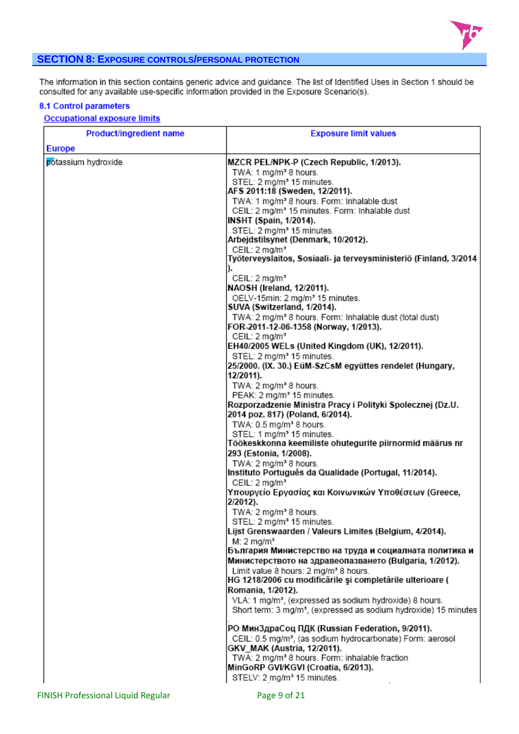

# **SECTION 8: EXPOSURE CONTROLS/PERSONAL PROTECTION**

The information in this section contains generic advice and guidance. The list of Identified Uses in Section 1 should be consulted for any available use-specific information provided in the Exposure Scenario(s).

### 8.1 Control parameters

### **Occupational exposure limits**

| <b>Product/ingredient name</b> | <b>Exposure limit values</b>                                                                   |
|--------------------------------|------------------------------------------------------------------------------------------------|
| <b>Europe</b>                  |                                                                                                |
| potassium hydroxide            | MZCR PEL/NPK-P (Czech Republic, 1/2013).<br>TWA: 1 mg/m <sup>3</sup> 8 hours.                  |
|                                | STEL: 2 mg/m <sup>3</sup> 15 minutes.                                                          |
|                                | AFS 2011:18 (Sweden, 12/2011).                                                                 |
|                                | TWA: 1 mg/m <sup>3</sup> 8 hours. Form: Inhalable dust                                         |
|                                | CEIL: 2 mg/m <sup>3</sup> 15 minutes. Form: Inhalable dust                                     |
|                                | <b>INSHT (Spain, 1/2014).</b>                                                                  |
|                                | STEL: 2 mg/m <sup>3</sup> 15 minutes.                                                          |
|                                | Arbejdstilsynet (Denmark, 10/2012).                                                            |
|                                | CEIL: 2 mg/m <sup>3</sup><br>Työterveyslaitos, Sosiaali- ja terveysministeriö (Finland, 3/2014 |
|                                |                                                                                                |
|                                | CEIL: 2 mg/m <sup>3</sup>                                                                      |
|                                | NAOSH (Ireland, 12/2011).                                                                      |
|                                | OELV-15min: 2 mg/m <sup>3</sup> 15 minutes.<br>SUVA (Switzerland, 1/2014).                     |
|                                | TWA: 2 mg/m <sup>3</sup> 8 hours. Form: Inhalable dust (total dust)                            |
|                                | FOR-2011-12-06-1358 (Norway, 1/2013).                                                          |
|                                | CEIL: 2 mg/m <sup>3</sup>                                                                      |
|                                | EH40/2005 WELs (United Kingdom (UK), 12/2011).<br>STEL: 2 mg/m <sup>3</sup> 15 minutes.        |
|                                | 25/2000. (IX. 30.) EüM-SzCsM együttes rendelet (Hungary,                                       |
|                                | 12/2011).                                                                                      |
|                                | TWA: 2 mg/m <sup>3</sup> 8 hours.                                                              |
|                                | PEAK: 2 mg/m <sup>3</sup> 15 minutes.                                                          |
|                                | Rozporzadzenie Ministra Pracy i Polityki Spolecznej (Dz.U.                                     |
|                                | 2014 poz. 817) (Poland, 6/2014).                                                               |
|                                | TWA: 0.5 mg/m <sup>3</sup> 8 hours.                                                            |
|                                | STEL: 1 mg/m <sup>3</sup> 15 minutes.                                                          |
|                                | Töökeskkonna keemiliste ohutegurite piirnormid määrus nr<br>293 (Estonia, 1/2008).             |
|                                | TWA: 2 mg/m <sup>3</sup> 8 hours.                                                              |
|                                | Instituto Português da Qualidade (Portugal, 11/2014).                                          |
|                                | CEIL: 2 mg/m <sup>3</sup>                                                                      |
|                                | Υπουργείο Εργασίας και Κοινωνικών Υποθέσεων (Greece,                                           |
|                                | $2/2012$ ).                                                                                    |
|                                | TWA: 2 mg/m <sup>3</sup> 8 hours.                                                              |
|                                | STEL: 2 mg/m <sup>3</sup> 15 minutes.                                                          |
|                                | Lijst Grenswaarden / Valeurs Limites (Belgium, 4/2014).<br>$M: 2$ mg/m <sup>3</sup>            |
|                                | България Министерство на труда и социалната политика и                                         |
|                                | Министерството на здравеопазването (Bulgaria, 1/2012).                                         |
|                                | Limit value 8 hours: 2 mg/m <sup>3</sup> 8 hours.                                              |
|                                | HG 1218/2006 cu modificările și completările ulterioare (                                      |
|                                | Romania, 1/2012).                                                                              |
|                                | VLA: 1 mg/m <sup>3</sup> , (expressed as sodium hydroxide) 8 hours.                            |
|                                | Short term: 3 mg/m <sup>3</sup> , (expressed as sodium hydroxide) 15 minutes                   |
|                                | РО МинЗдраСоц ПДК (Russian Federation, 9/2011).                                                |
|                                | CEIL: 0.5 mg/m <sup>3</sup> , (as sodium hydrocarbonate) Form: aerosol                         |
|                                | GKV_MAK (Austria, 12/2011).                                                                    |
|                                | TWA: 2 mg/m <sup>3</sup> 8 hours. Form: inhalable fraction                                     |
|                                | MinGoRP GVI/KGVI (Croatia, 6/2013).                                                            |
|                                | STELV: 2 mg/m <sup>3</sup> 15 minutes.                                                         |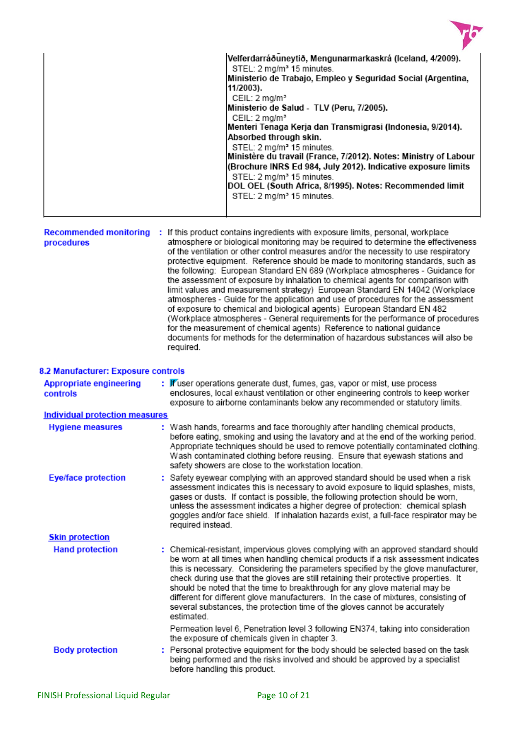

|  | Velferdarráðuneytið, Mengunarmarkaskrá (Iceland, 4/2009).<br>STEL: 2 mg/m <sup>3</sup> 15 minutes.<br>Ministerio de Trabajo, Empleo y Seguridad Social (Argentina,<br>11/2003).<br>CEIL: 2 mg/m <sup>3</sup><br>Ministerio de Salud - TLV (Peru, 7/2005).<br>CEIL: 2 mg/m <sup>3</sup><br>Menteri Tenaga Kerja dan Transmigrasi (Indonesia, 9/2014).<br>Absorbed through skin.<br>STEL: 2 mg/m <sup>3</sup> 15 minutes.<br>Ministère du travail (France, 7/2012). Notes: Ministry of Labour<br>(Brochure INRS Ed 984, July 2012). Indicative exposure limits<br>STEL: 2 mg/m <sup>3</sup> 15 minutes.<br> DOL OEL (South Africa, 8/1995). Notes: Recommended limit<br>STEL: 2 mg/m <sup>3</sup> 15 minutes. |
|--|-------------------------------------------------------------------------------------------------------------------------------------------------------------------------------------------------------------------------------------------------------------------------------------------------------------------------------------------------------------------------------------------------------------------------------------------------------------------------------------------------------------------------------------------------------------------------------------------------------------------------------------------------------------------------------------------------------------|
|--|-------------------------------------------------------------------------------------------------------------------------------------------------------------------------------------------------------------------------------------------------------------------------------------------------------------------------------------------------------------------------------------------------------------------------------------------------------------------------------------------------------------------------------------------------------------------------------------------------------------------------------------------------------------------------------------------------------------|

| <b>Recommended monitoring</b><br>procedures |  | : If this product contains ingredients with exposure limits, personal, workplace<br>atmosphere or biological monitoring may be required to determine the effectiveness<br>of the ventilation or other control measures and/or the necessity to use respiratory<br>protective equipment. Reference should be made to monitoring standards, such as<br>the following: European Standard EN 689 (Workplace atmospheres - Guidance for<br>the assessment of exposure by inhalation to chemical agents for comparison with<br>limit values and measurement strategy) European Standard EN 14042 (Workplace<br>atmospheres - Guide for the application and use of procedures for the assessment<br>of exposure to chemical and biological agents) European Standard EN 482<br>(Workplace atmospheres - General requirements for the performance of procedures<br>for the measurement of chemical agents) Reference to national guidance<br>documents for methods for the determination of hazardous substances will also be<br>required. |
|---------------------------------------------|--|------------------------------------------------------------------------------------------------------------------------------------------------------------------------------------------------------------------------------------------------------------------------------------------------------------------------------------------------------------------------------------------------------------------------------------------------------------------------------------------------------------------------------------------------------------------------------------------------------------------------------------------------------------------------------------------------------------------------------------------------------------------------------------------------------------------------------------------------------------------------------------------------------------------------------------------------------------------------------------------------------------------------------------|
|---------------------------------------------|--|------------------------------------------------------------------------------------------------------------------------------------------------------------------------------------------------------------------------------------------------------------------------------------------------------------------------------------------------------------------------------------------------------------------------------------------------------------------------------------------------------------------------------------------------------------------------------------------------------------------------------------------------------------------------------------------------------------------------------------------------------------------------------------------------------------------------------------------------------------------------------------------------------------------------------------------------------------------------------------------------------------------------------------|

# 8.2 Manufacturer: Exposure controls

| <b>Appropriate engineering</b><br>controls | : If user operations generate dust, fumes, gas, vapor or mist, use process<br>enclosures, local exhaust ventilation or other engineering controls to keep worker<br>exposure to airborne contaminants below any recommended or statutory limits.                                                                                                                                                                                                                                                                                                                                                                         |
|--------------------------------------------|--------------------------------------------------------------------------------------------------------------------------------------------------------------------------------------------------------------------------------------------------------------------------------------------------------------------------------------------------------------------------------------------------------------------------------------------------------------------------------------------------------------------------------------------------------------------------------------------------------------------------|
| Individual protection measures             |                                                                                                                                                                                                                                                                                                                                                                                                                                                                                                                                                                                                                          |
| <b>Hygiene measures</b>                    | : Wash hands, forearms and face thoroughly after handling chemical products,<br>before eating, smoking and using the lavatory and at the end of the working period.<br>Appropriate techniques should be used to remove potentially contaminated clothing.<br>Wash contaminated clothing before reusing. Ensure that eyewash stations and<br>safety showers are close to the workstation location.                                                                                                                                                                                                                        |
| <b>Eye/face protection</b>                 | : Safety eyewear complying with an approved standard should be used when a risk<br>assessment indicates this is necessary to avoid exposure to liquid splashes, mists,<br>gases or dusts. If contact is possible, the following protection should be worn,<br>unless the assessment indicates a higher degree of protection: chemical splash<br>goggles and/or face shield. If inhalation hazards exist, a full-face respirator may be<br>required instead.                                                                                                                                                              |
| <b>Skin protection</b>                     |                                                                                                                                                                                                                                                                                                                                                                                                                                                                                                                                                                                                                          |
| <b>Hand protection</b>                     | : Chemical-resistant, impervious gloves complying with an approved standard should<br>be worn at all times when handling chemical products if a risk assessment indicates<br>this is necessary. Considering the parameters specified by the glove manufacturer,<br>check during use that the gloves are still retaining their protective properties. It<br>should be noted that the time to breakthrough for any glove material may be<br>different for different glove manufacturers. In the case of mixtures, consisting of<br>several substances, the protection time of the gloves cannot be accurately<br>estimated |
|                                            | Permeation level 6, Penetration level 3 following EN374, taking into consideration<br>the exposure of chemicals given in chapter 3.                                                                                                                                                                                                                                                                                                                                                                                                                                                                                      |
| <b>Body protection</b>                     | : Personal protective equipment for the body should be selected based on the task<br>being performed and the risks involved and should be approved by a specialist<br>before handling this product.                                                                                                                                                                                                                                                                                                                                                                                                                      |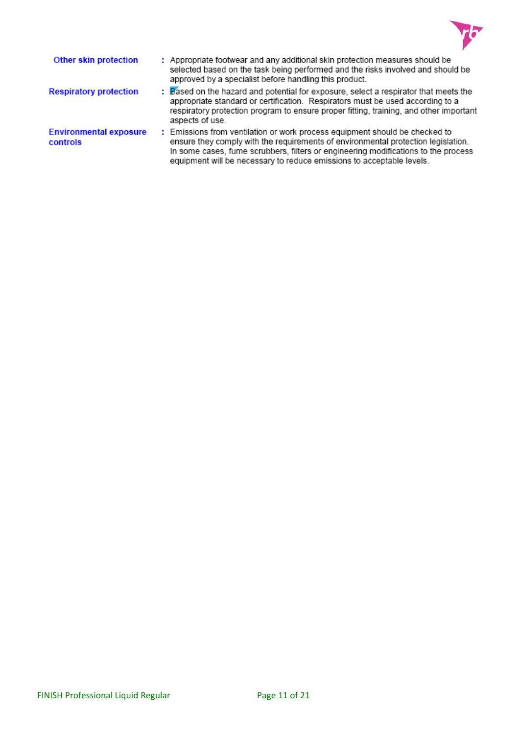

| Other skin protection                     | : Appropriate footwear and any additional skin protection measures should be<br>selected based on the task being performed and the risks involved and should be<br>approved by a specialist before handling this product.                                                                                                       |
|-------------------------------------------|---------------------------------------------------------------------------------------------------------------------------------------------------------------------------------------------------------------------------------------------------------------------------------------------------------------------------------|
| <b>Respiratory protection</b>             | : Based on the hazard and potential for exposure, select a respirator that meets the<br>appropriate standard or certification. Respirators must be used according to a<br>respiratory protection program to ensure proper fitting, training, and other important<br>aspects of use.                                             |
| <b>Environmental exposure</b><br>controls | : Emissions from ventilation or work process equipment should be checked to<br>ensure they comply with the requirements of environmental protection legislation.<br>In some cases, fume scrubbers, filters or engineering modifications to the process<br>equipment will be necessary to reduce emissions to acceptable levels. |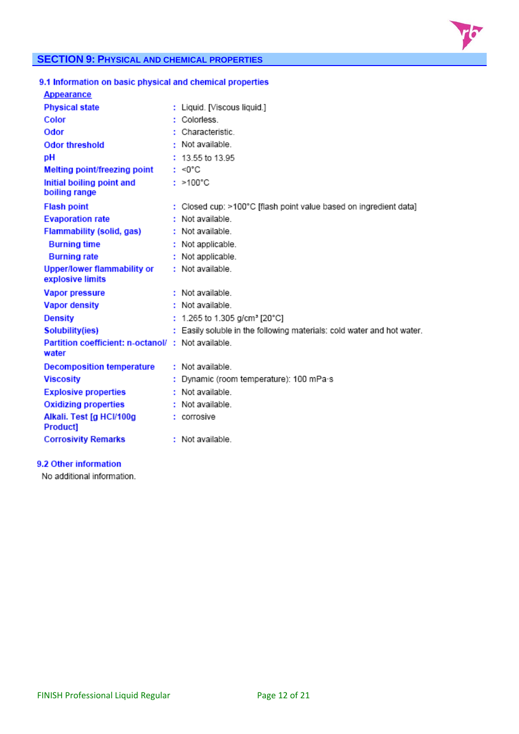

# **SECTION 9: PHYSICAL AND CHEMICAL PROPERTIES**

| 9.1 Information on basic physical and chemical properties  |                                                                        |
|------------------------------------------------------------|------------------------------------------------------------------------|
| <b>Appearance</b>                                          |                                                                        |
| <b>Physical state</b>                                      | : Liquid. [Viscous liquid.]                                            |
| Color                                                      | : Colorless                                                            |
| Odor                                                       | : Characteristic.                                                      |
| <b>Odor threshold</b>                                      | : Not available.                                                       |
| pH                                                         | $: 13.55$ to 13.95                                                     |
| Melting point/freezing point                               | : <0°C                                                                 |
| Initial boiling point and<br>boiling range                 | $: >100^{\circ}C$                                                      |
| <b>Flash point</b>                                         | : Closed cup: >100°C [flash point value based on ingredient data]      |
| <b>Evaporation rate</b>                                    | : Not available.                                                       |
| <b>Flammability (solid, gas)</b>                           | : Not available.                                                       |
| <b>Burning time</b>                                        | : Not applicable.                                                      |
| <b>Burning rate</b>                                        | : Not applicable.                                                      |
| <b>Upper/lower flammability or</b><br>explosive limits     | : Not available.                                                       |
| <b>Vapor pressure</b>                                      | : Not available.                                                       |
| <b>Vapor density</b>                                       | : Not available.                                                       |
| <b>Density</b>                                             | : 1.265 to 1.305 g/cm <sup>3</sup> [20°C]                              |
| <b>Solubility(ies)</b>                                     | : Easily soluble in the following materials: cold water and hot water. |
| Partition coefficient: n-octanol/: Not available.<br>water |                                                                        |
| <b>Decomposition temperature</b>                           | : Not available.                                                       |
| <b>Viscosity</b>                                           | Dynamic (room temperature): 100 mPa·s                                  |
| <b>Explosive properties</b>                                | : Not available.                                                       |
| <b>Oxidizing properties</b>                                | : Not available.                                                       |
| Alkali. Test [g HCl/100g<br><b>Product]</b>                | : corrosive                                                            |
| <b>Corrosivity Remarks</b>                                 | : Not available                                                        |

# 9.2 Other information

No additional information.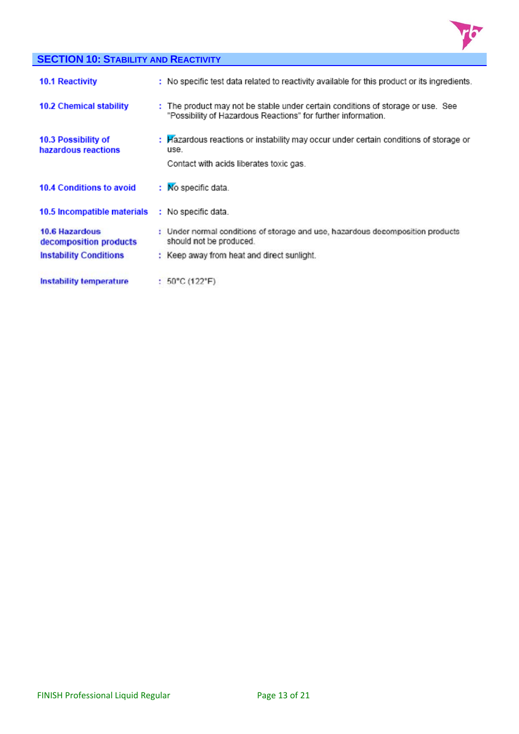

# **SECTION 10: STABILITY AND REACTIVITY**

| <b>10.1 Reactivity</b>                          | : No specific test data related to reactivity available for this product or its ingredients.                                                     |
|-------------------------------------------------|--------------------------------------------------------------------------------------------------------------------------------------------------|
| <b>10.2 Chemical stability</b>                  | : The product may not be stable under certain conditions of storage or use. See<br>"Possibility of Hazardous Reactions" for further information. |
| 10.3 Possibility of<br>hazardous reactions      | : Hazardous reactions or instability may occur under certain conditions of storage or<br>use.<br>Contact with acids liberates toxic gas.         |
| 10.4 Conditions to avoid                        | : No specific data.                                                                                                                              |
| 10.5 Incompatible materials                     | : No specific data.                                                                                                                              |
| <b>10.6 Hazardous</b><br>decomposition products | : Under normal conditions of storage and use, hazardous decomposition products<br>should not be produced.                                        |
| <b>Instability Conditions</b>                   | : Keep away from heat and direct sunlight.                                                                                                       |
| <b>Instability temperature</b>                  | : $50^{\circ}$ C (122 $^{\circ}$ F)                                                                                                              |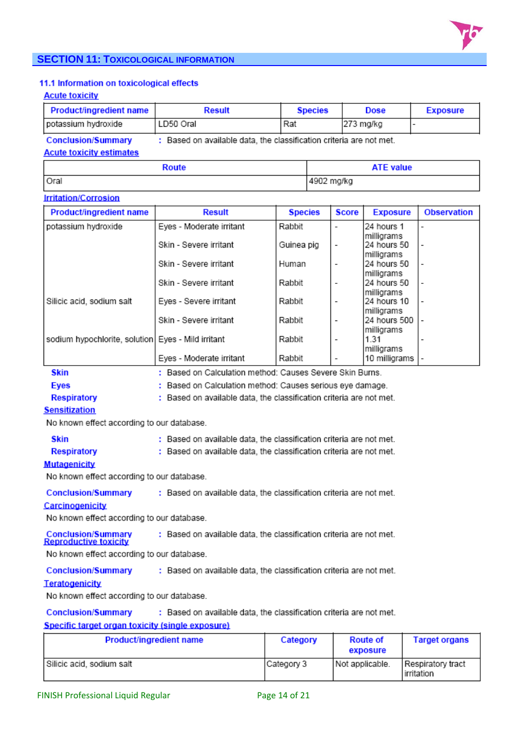

# **SECTION 11: TOXICOLOGICAL INFORMATION**

### 11.1 Information on toxicological effects

### **Acute toxicity**

| <b>Product/ingredient name</b>  | <b>Result</b>                                                       | <b>Species</b>   | <b>Dose</b> | <b>Exposure</b> |
|---------------------------------|---------------------------------------------------------------------|------------------|-------------|-----------------|
| potassium hydroxide             | LD50 Oral                                                           | Rat              | 273 mg/kg   |                 |
| <b>Conclusion/Summary</b>       | : Based on available data, the classification criteria are not met. |                  |             |                 |
| <b>Acute toxicity estimates</b> |                                                                     |                  |             |                 |
|                                 |                                                                     | <b>ATE value</b> |             |                 |

4902 mg/kg

# Oral

# **Irritation/Corrosion**

| <b>Product/ingredient name</b>                       | <b>Result</b>                                            | <b>Species</b> | <b>Score</b>             | <b>Exposure</b>            | <b>Observation</b>       |
|------------------------------------------------------|----------------------------------------------------------|----------------|--------------------------|----------------------------|--------------------------|
| potassium hydroxide                                  | Eyes - Moderate irritant                                 | Rabbit         |                          | 24 hours 1<br>milligrams   |                          |
|                                                      | Skin - Severe irritant                                   | Guinea pig     | $\overline{\phantom{a}}$ | 24 hours 50<br>milligrams  | $\overline{\phantom{0}}$ |
|                                                      | Skin - Severe irritant                                   | Human          | $\overline{\phantom{a}}$ | 24 hours 50<br>milligrams  |                          |
|                                                      | Skin - Severe irritant                                   | Rabbit         | $\overline{\phantom{0}}$ | 24 hours 50<br>milligrams  |                          |
| Silicic acid, sodium salt                            | Eyes - Severe irritant                                   | Rabbit         | $\overline{\phantom{a}}$ | 24 hours 10<br>milligrams  |                          |
|                                                      | Skin - Severe irritant                                   | Rabbit         | $\overline{\phantom{0}}$ | 24 hours 500<br>milligrams |                          |
| sodium hypochlorite, solution   Eyes - Mild irritant |                                                          | Rabbit         | $\overline{\phantom{a}}$ | 1.31<br>milligrams         |                          |
|                                                      | Eyes - Moderate irritant                                 | Rabbit         |                          | 10 milligrams              |                          |
| <b>Skin</b>                                          | : Based on Calculation method: Causes Severe Skin Burns. |                |                          |                            |                          |

# **Eyes**

### : Based on Calculation method: Causes serious eye damage.

: Based on available data, the classification criteria are not met. **Respiratory** 

### **Sensitization**

No known effect according to our database.

| <b>Skin</b> | : Based on available data, the classification criteria are not met. |
|-------------|---------------------------------------------------------------------|
| Respiratory | : Based on available data, the classification criteria are not met. |

### **Mutagenicity**

No known effect according to our database.

**Conclusion/Summary** : Based on available data, the classification criteria are not met.

### Carcinogenicity

No known effect according to our database.

**Conclusion/Summary**<br>Reproductive toxicity : Based on available data, the classification criteria are not met.

No known effect according to our database.

: Based on available data, the classification criteria are not met. **Conclusion/Summary** 

### **Teratogenicity**

No known effect according to our database.

**Conclusion/Summary** : Based on available data, the classification criteria are not met.

### Specific target organ toxicity (single exposure)

| Product/ingredient name   | Category   | <b>Route of</b><br>exposure | <b>Target organs</b>            |
|---------------------------|------------|-----------------------------|---------------------------------|
| Silicic acid, sodium salt | Category 3 | Not applicable.             | Respiratory tract<br>irritation |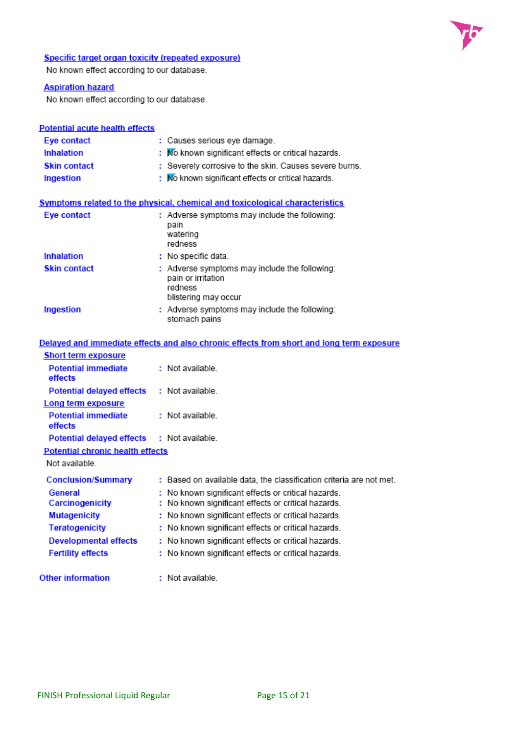

# **Specific target organ toxicity (repeated exposure)**

No known effect according to our database.

# **Aspiration hazard**

No known effect according to our database.

| <b>Potential acute health effects</b> |                                                                                                        |
|---------------------------------------|--------------------------------------------------------------------------------------------------------|
| Eye contact                           | : Causes serious eye damage.                                                                           |
| <b>Inhalation</b>                     | : No known significant effects or critical hazards.                                                    |
| <b>Skin contact</b>                   | : Severely corrosive to the skin. Causes severe burns.                                                 |
| Ingestion                             | : No known significant effects or critical hazards.                                                    |
|                                       | <b>Symptoms related to the physical, chemical and toxicological characteristics</b>                    |
| Eye contact                           | : Adverse symptoms may include the following:<br>pain<br>watering<br>redness                           |
| <b>Inhalation</b>                     | : No specific data.                                                                                    |
| <b>Skin contact</b>                   | : Adverse symptoms may include the following:<br>pain or irritation<br>redness<br>blistering may occur |
| Ingestion                             | : Adverse symptoms may include the following:<br>stomach pains                                         |
|                                       | Delayed and immediate effects and also chronic effects from short and long term eye                    |

|                                            | Delayed and immediate effects and also chronic effects from short and long term exposure |
|--------------------------------------------|------------------------------------------------------------------------------------------|
| <b>Short term exposure</b>                 |                                                                                          |
| <b>Potential immediate</b><br>effects      | : Not available.                                                                         |
| Potential delayed effects : Not available. |                                                                                          |
| Long term exposure                         |                                                                                          |
| <b>Potential immediate</b><br>effects      | : Not available.                                                                         |
| Potential delayed effects : Not available. |                                                                                          |
| <b>Potential chronic health effects</b>    |                                                                                          |
| Not available.                             |                                                                                          |
| <b>Conclusion/Summary</b>                  | : Based on available data, the classification criteria are not met.                      |
| General                                    | : No known significant effects or critical hazards.                                      |
| Carcinogenicity                            | : No known significant effects or critical hazards.                                      |
| <b>Mutagenicity</b>                        | : No known significant effects or critical hazards.                                      |
| <b>Teratogenicity</b>                      | : No known significant effects or critical hazards.                                      |
| <b>Developmental effects</b>               | : No known significant effects or critical hazards.                                      |
| <b>Fertility effects</b>                   | : No known significant effects or critical hazards.                                      |
| <b>Other information</b>                   | : Not available.                                                                         |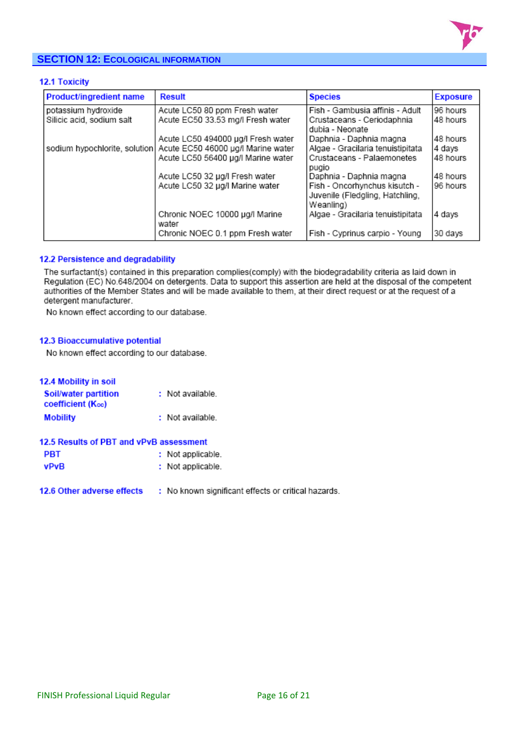

# **SECTION 12: ECOLOGICAL INFORMATION**

# 12.1 Toxicity

| Product/ingredient name   | <b>Result</b>                                                    | <b>Species</b>                                                                | <b>Exposure</b> |
|---------------------------|------------------------------------------------------------------|-------------------------------------------------------------------------------|-----------------|
| potassium hydroxide       | Acute LC50 80 ppm Fresh water                                    | Fish - Gambusia affinis - Adult                                               | 96 hours        |
| Silicic acid, sodium salt | Acute EC50 33.53 mg/l Fresh water                                | Crustaceans - Ceriodaphnia<br>dubia - Neonate                                 | 148 hours       |
|                           | Acute LC50 494000 µg/l Fresh water                               | Daphnia - Daphnia magna                                                       | 48 hours        |
|                           | sodium hypochlorite, solution Acute EC50 46000 µg/l Marine water | Algae - Gracilaria tenuistipitata                                             | 4 days          |
|                           | Acute LC50 56400 µg/l Marine water                               | Crustaceans - Palaemonetes<br>pugio                                           | 48 hours        |
|                           | Acute LC50 32 µg/l Fresh water                                   | Daphnia - Daphnia magna                                                       | 48 hours        |
|                           | Acute LC50 32 µg/l Marine water                                  | Fish - Oncorhynchus kisutch -<br>Juvenile (Fledgling, Hatchling,<br>Weanling) | 96 hours        |
|                           | Chronic NOEC 10000 µg/l Marine<br>water                          | Algae - Gracilaria tenuistipitata                                             | 4 days          |
|                           | Chronic NOEC 0.1 ppm Fresh water                                 | Fish - Cyprinus carpio - Young                                                | 30 days         |

### 12.2 Persistence and degradability

The surfactant(s) contained in this preparation complies(comply) with the biodegradability criteria as laid down in Regulation (EC) No.648/2004 on detergents. Data to support this assertion are held at the disposal of the competent authorities of the Member States and will be made available to them, at their direct request or at the request of a detergent manufacturer.

No known effect according to our database.

### 12.3 Bioaccumulative potential

No known effect according to our database.

| <b>12.4 Mobility in soil</b>                     |                   |
|--------------------------------------------------|-------------------|
| Soil/water partition<br><b>coefficient (Koc)</b> | : Not available.  |
| <b>Mobility</b>                                  | : Not available.  |
| 12.5 Results of PBT and vPvB assessment          |                   |
| PBT                                              | : Not applicable. |
| vPvR                                             | : Not applicable. |

12.6 Other adverse effects : No known significant effects or critical hazards.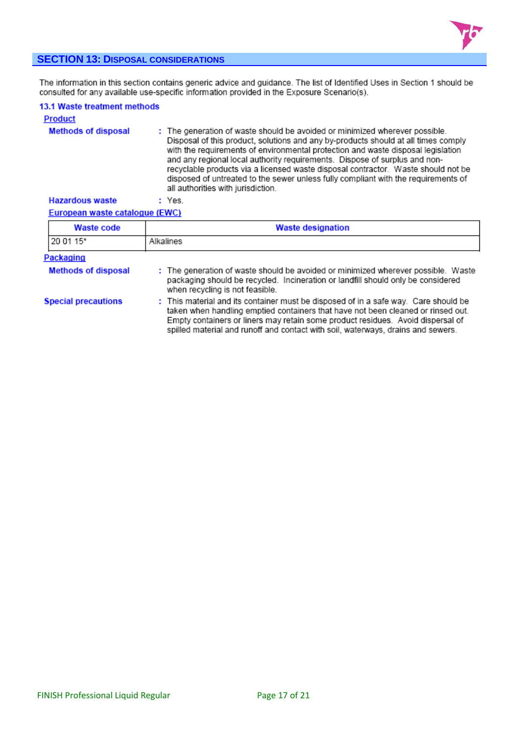

# **SECTION 13: DISPOSAL CONSIDERATIONS**

The information in this section contains generic advice and guidance. The list of Identified Uses in Section 1 should be<br>consulted for any available use-specific information provided in the Exposure Scenario(s).

| 13.1 Waste treatment methods<br><b>Product</b> |                                                                                                                                                                                                                                                                                                                                                                                                                                                                                                                                                      |
|------------------------------------------------|------------------------------------------------------------------------------------------------------------------------------------------------------------------------------------------------------------------------------------------------------------------------------------------------------------------------------------------------------------------------------------------------------------------------------------------------------------------------------------------------------------------------------------------------------|
| <b>Methods of disposal</b>                     | : The generation of waste should be avoided or minimized wherever possible.<br>Disposal of this product, solutions and any by-products should at all times comply<br>with the requirements of environmental protection and waste disposal legislation<br>and any regional local authority requirements. Dispose of surplus and non-<br>recyclable products via a licensed waste disposal contractor. Waste should not be<br>disposed of untreated to the sewer unless fully compliant with the requirements of<br>all authorities with jurisdiction. |
| <b>Hazardous waste</b>                         | : Yes.                                                                                                                                                                                                                                                                                                                                                                                                                                                                                                                                               |

European waste catalogue (EWC)

| <b>Waste code</b>          | <b>Waste designation</b>                                                                                                                                                                                                                                                                                                                       |  |  |
|----------------------------|------------------------------------------------------------------------------------------------------------------------------------------------------------------------------------------------------------------------------------------------------------------------------------------------------------------------------------------------|--|--|
| 20 01 15*                  | Alkalines                                                                                                                                                                                                                                                                                                                                      |  |  |
| Packaging                  |                                                                                                                                                                                                                                                                                                                                                |  |  |
| <b>Methods of disposal</b> | : The generation of waste should be avoided or minimized wherever possible. Waste<br>packaging should be recycled. Incineration or landfill should only be considered<br>when recycling is not feasible.                                                                                                                                       |  |  |
| <b>Special precautions</b> | : This material and its container must be disposed of in a safe way. Care should be<br>taken when handling emptied containers that have not been cleaned or rinsed out.<br>Empty containers or liners may retain some product residues. Avoid dispersal of<br>spilled material and runoff and contact with soil, waterways, drains and sewers. |  |  |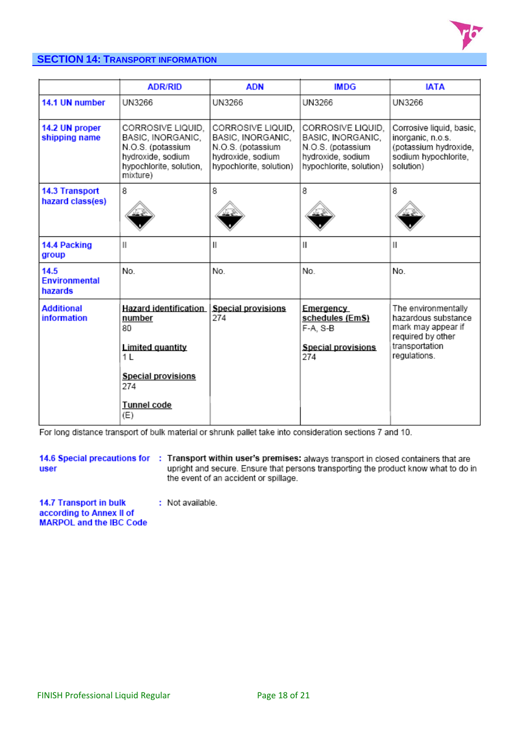

# **SECTION 14: TRANSPORT INFORMATION**

|                                           | <b>ADR/RID</b>                                                                                                                           | <b>ADN</b>                                                                                                  | <b>IMDG</b>                                                                                                 | <b>IATA</b>                                                                                                             |
|-------------------------------------------|------------------------------------------------------------------------------------------------------------------------------------------|-------------------------------------------------------------------------------------------------------------|-------------------------------------------------------------------------------------------------------------|-------------------------------------------------------------------------------------------------------------------------|
| 14.1 UN number                            | UN3266                                                                                                                                   | UN3266                                                                                                      | UN3266                                                                                                      | UN3266                                                                                                                  |
| 14.2 UN proper<br>shipping name           | CORROSIVE LIQUID.<br>BASIC, INORGANIC,<br>N.O.S. (potassium<br>hydroxide, sodium<br>hypochlorite, solution,<br>mixture)                  | CORROSIVE LIQUID.<br>BASIC, INORGANIC,<br>N.O.S. (potassium<br>hydroxide, sodium<br>hypochlorite, solution) | CORROSIVE LIQUID.<br>BASIC, INORGANIC,<br>N.O.S. (potassium<br>hydroxide, sodium<br>hypochlorite, solution) | Corrosive liquid, basic,<br>inorganic, n.o.s.<br>(potassium hydroxide,<br>sodium hypochlorite,<br>solution)             |
| <b>14.3 Transport</b><br>hazard class(es) | 8                                                                                                                                        | 8                                                                                                           | 8                                                                                                           | 8                                                                                                                       |
| 14.4 Packing<br>group                     | Ш                                                                                                                                        | $\mathsf{I}$                                                                                                | Ш                                                                                                           | Ш                                                                                                                       |
| 14.5<br><b>Environmental</b><br>hazards   | No.                                                                                                                                      | No.                                                                                                         | No.                                                                                                         | No.                                                                                                                     |
| <b>Additional</b><br><b>information</b>   | <b>Hazard identification</b><br>number<br>80<br>Limited quantity<br>11.<br><b>Special provisions</b><br>274<br><b>Tunnel code</b><br>(E) | <b>Special provisions</b><br>274                                                                            | Emergency<br>schedules (EmS)<br>F-A, S-B<br><b>Special provisions</b><br>274                                | The environmentally<br>hazardous substance<br>mark may appear if<br>required by other<br>transportation<br>regulations. |

For long distance transport of bulk material or shrunk pallet take into consideration sections 7 and 10.

user

14.6 Special precautions for : Transport within user's premises: always transport in closed containers that are upright and secure. Ensure that persons transporting the product know what to do in the event of an accident or spillage.

14.7 Transport in bulk : Not available. according to Annex II of **MARPOL** and the IBC Code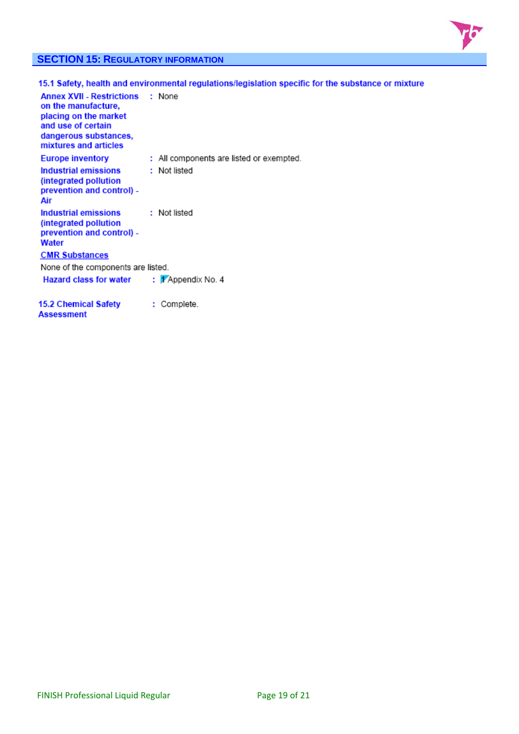

# **SECTION 15: REGULATORY INFORMATION**

|                                                                                                                                                                 | 15.1 Safety, health and environmental regulations/legislation specific for the substance or mixture |
|-----------------------------------------------------------------------------------------------------------------------------------------------------------------|-----------------------------------------------------------------------------------------------------|
| <b>Annex XVII - Restrictions : None</b><br>on the manufacture,<br>placing on the market<br>and use of certain<br>dangerous substances,<br>mixtures and articles |                                                                                                     |
| <b>Europe inventory</b>                                                                                                                                         | : All components are listed or exempted.                                                            |
| Industrial emissions<br>(integrated pollution)<br>prevention and control) -<br>Air                                                                              | : Not listed                                                                                        |
| Industrial emissions<br>(integrated pollution<br>prevention and control) -<br>Water                                                                             | : Not listed                                                                                        |
| <b>CMR Substances</b>                                                                                                                                           |                                                                                                     |
| None of the components are listed.                                                                                                                              |                                                                                                     |
| <b>Hazard class for water</b>                                                                                                                                   | : 1 Appendix No. 4                                                                                  |
| 15.2 Chemical Safety<br>Assessment                                                                                                                              | : Complete.                                                                                         |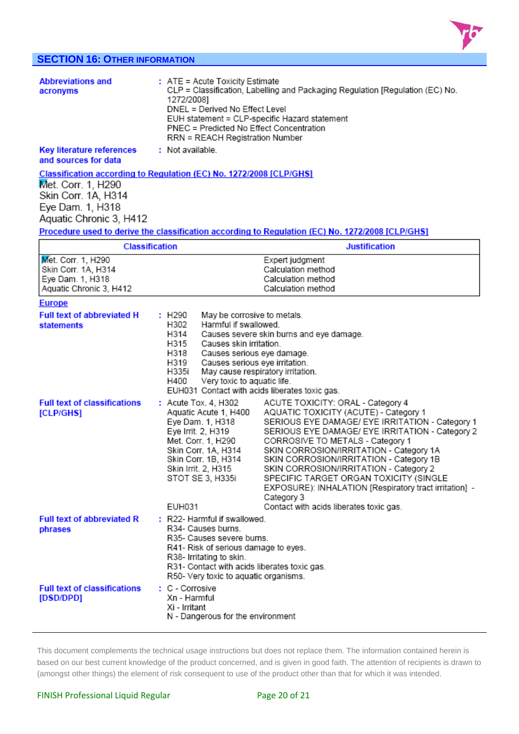

# **SECTION 16: OTHER INFORMATION**

| <b>Abbreviations and</b><br>acronyms                     | $:$ ATE = Acute Toxicity Estimate<br>CLP = Classification, Labelling and Packaging Regulation [Regulation (EC) No.<br>1272/20081<br>DNEL = Derived No Effect Level<br>EUH statement = CLP-specific Hazard statement<br>PNEC = Predicted No Effect Concentration<br>RRN = REACH Registration Number |
|----------------------------------------------------------|----------------------------------------------------------------------------------------------------------------------------------------------------------------------------------------------------------------------------------------------------------------------------------------------------|
| <b>Key literature references</b><br>and sources for data | : Not available.                                                                                                                                                                                                                                                                                   |
|                                                          | Classification according to Regulation (EC) No. 1272/2008 [CLP/GHS]                                                                                                                                                                                                                                |
| Met. Corr. 1, H290                                       |                                                                                                                                                                                                                                                                                                    |
| Skin Corr. 1A, H314                                      |                                                                                                                                                                                                                                                                                                    |
| Eye Dam. 1, H318                                         |                                                                                                                                                                                                                                                                                                    |
| Aquatic Chronic 3, H412                                  |                                                                                                                                                                                                                                                                                                    |
|                                                          | Procedure used to derive the classification according to Regulation (EC) No. 1272/2008 [CLP/GHS]                                                                                                                                                                                                   |

| Classification          | Justification      |
|-------------------------|--------------------|
| Met. Corr. 1, H290      | Expert judgment    |
| Skin Corr. 1A, H314     | Calculation method |
| Eye Dam. 1, H318        | Calculation method |
| Aquatic Chronic 3, H412 | Calculation method |

| <b>Full text of abbreviated H</b><br><b>statements</b> | : H290<br>H302<br>H314<br>H315<br>H318<br>H319<br>H335i<br>H400                                                                                                                                                                              | May be corrosive to metals.<br>Harmful if swallowed.<br>Causes severe skin burns and eye damage.<br>Causes skin irritation.<br>Causes serious eye damage.<br>Causes serious eye irritation.<br>May cause respiratory irritation.<br>Very toxic to aquatic life.<br>EUH031 Contact with acids liberates toxic gas.                                                                                                                                                                                                 |  |
|--------------------------------------------------------|----------------------------------------------------------------------------------------------------------------------------------------------------------------------------------------------------------------------------------------------|-------------------------------------------------------------------------------------------------------------------------------------------------------------------------------------------------------------------------------------------------------------------------------------------------------------------------------------------------------------------------------------------------------------------------------------------------------------------------------------------------------------------|--|
| <b>Full text of classifications</b><br>[CLP/GHS]       | : Acute Tox. 4, H302<br>Aquatic Acute 1, H400<br>Eye Dam. 1, H318<br>Eye Irrit. 2, H319<br>Met. Corr. 1, H290<br>Skin Corr. 1A, H314<br>Skin Corr. 1B, H314<br>Skin Irrit. 2, H315<br>STOT SE 3, H335i<br>EUH031                             | ACUTE TOXICITY: ORAL - Category 4<br>AQUATIC TOXICITY (ACUTE) - Category 1<br>SERIOUS EYE DAMAGE/ EYE IRRITATION - Category 1<br>SERIOUS EYE DAMAGE/ EYE IRRITATION - Category 2<br>CORROSIVE TO METALS - Category 1<br>SKIN CORROSION/IRRITATION - Category 1A<br>SKIN CORROSION/IRRITATION - Category 1B<br>SKIN CORROSION/IRRITATION - Category 2<br>SPECIFIC TARGET ORGAN TOXICITY (SINGLE<br>EXPOSURE): INHALATION [Respiratory tract irritation] -<br>Category 3<br>Contact with acids liberates toxic gas. |  |
| <b>Full text of abbreviated R</b><br>phrases           | : R22- Harmful if swallowed.<br>R34- Causes burns.<br>R35- Causes severe burns.<br>R41- Risk of serious damage to eyes.<br>R38- Irritating to skin.<br>R31- Contact with acids liberates toxic gas.<br>R50- Very toxic to aquatic organisms. |                                                                                                                                                                                                                                                                                                                                                                                                                                                                                                                   |  |
| <b>Full text of classifications</b><br>[DSD/DPD]       | : C - Corrosive<br>Xn - Harmful<br>Xi - Irritant<br>N - Dangerous for the environment                                                                                                                                                        |                                                                                                                                                                                                                                                                                                                                                                                                                                                                                                                   |  |

This document complements the technical usage instructions but does not replace them. The information contained herein is based on our best current knowledge of the product concerned, and is given in good faith. The attention of recipients is drawn to (amongst other things) the element of risk consequent to use of the product other than that for which it was intended.